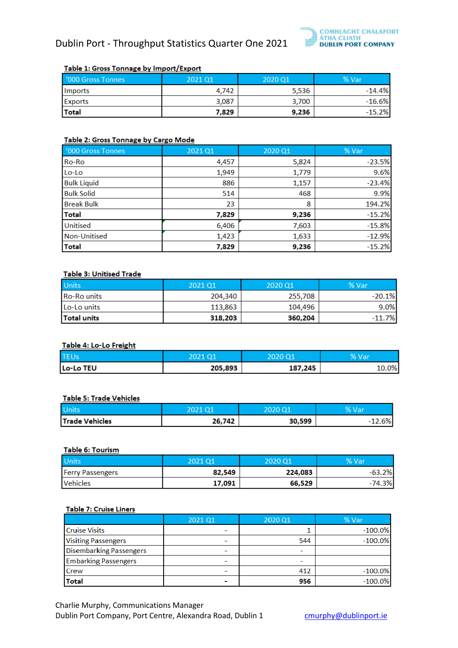

## Table 1: Gross Tonnage by Import/Export

| '000 Gross Tonnes | 2021 Q1 | 2020 Q1 | % Var    |
|-------------------|---------|---------|----------|
| Imports           | 4.742   | 5,536   | $-14.4%$ |
| <b>Exports</b>    | 3,087   | 3,700   | $-16.6%$ |
| <b>Total</b>      | 7,829   | 9,236   | $-15.2%$ |

# Table 2: Gross Tonnage by Cargo Mode

| '000 Gross Tonnes   | 2021 Q1 | 2020 Q1 | % Var    |
|---------------------|---------|---------|----------|
| Ro-Ro               | 4,457   | 5,824   | $-23.5%$ |
| Lo-Lo               | 1,949   | 1,779   | 9.6%     |
| <b>Bulk Liquid</b>  | 886     | 1,157   | $-23.4%$ |
| <b>Bulk Solid</b>   | 514     | 468     | 9.9%     |
| <b>Break Bulk</b>   | 23      | 8       | 194.2%   |
| <b>Total</b>        | 7,829   | 9,236   | $-15.2%$ |
| <b>Unitised</b>     | 6,406   | 7,603   | $-15.8%$ |
| <b>Non-Unitised</b> | 1,423   | 1,633   | $-12.9%$ |
| <b>Total</b>        | 7,829   | 9,236   | $-15.2%$ |

## **Table 3: Unitised Trade**

| <b>Units</b>       | 2021 01 | 2020 Q1 | % Var    |
|--------------------|---------|---------|----------|
| <b>Ro-Ro units</b> | 204,340 | 255,708 | $-20.1%$ |
| Lo-Lo units        | 113,863 | 104,496 | 9.0%     |
| Total units        | 318,203 | 360,204 | $-11.7%$ |

## Table 4: Lo-Lo Freight

| <b>TEUs</b> | $\Omega$ 1 |         | Va. |
|-------------|------------|---------|-----|
| Lo-Lo TEU   | 205,893    | 187,245 | .0% |

#### **Table 5: Trade Vehicles**

| Uni                   |        | <b>2020 O'</b> |  |
|-----------------------|--------|----------------|--|
| <b>Trade Vehicles</b> | 26,742 | 30,599         |  |

# Table 6: Tourism

| <b>Units</b>            | 2021 Q1 | 2020 Q1 | % Var    |
|-------------------------|---------|---------|----------|
| <b>Ferry Passengers</b> | 82,549  | 224,083 | $-63.2%$ |
| <b>Vehicles</b>         | 17,091  | 66,529  | $-74.3%$ |

#### Table 7: Cruise Liners

|                                | 2021 Q1 | 2020 Q1 | % Var      |
|--------------------------------|---------|---------|------------|
| <b>Cruise Visits</b>           |         |         | $-100.0%$  |
| <b>Visiting Passengers</b>     |         | 544     | $-100.0\%$ |
| <b>Disembarking Passengers</b> |         |         |            |
| <b>Embarking Passengers</b>    |         |         |            |
| <b>Crew</b>                    |         | 412     | $-100.0\%$ |
| <b>Total</b>                   | ٠       | 956     | $-100.0%$  |

Charlie Murphy, Communications Manager Dublin Port Company, Port Centre, Alexandra Road, Dublin 1 [cmurphy@dublinport.ie](mailto:cmurphy@dublinport.ie)